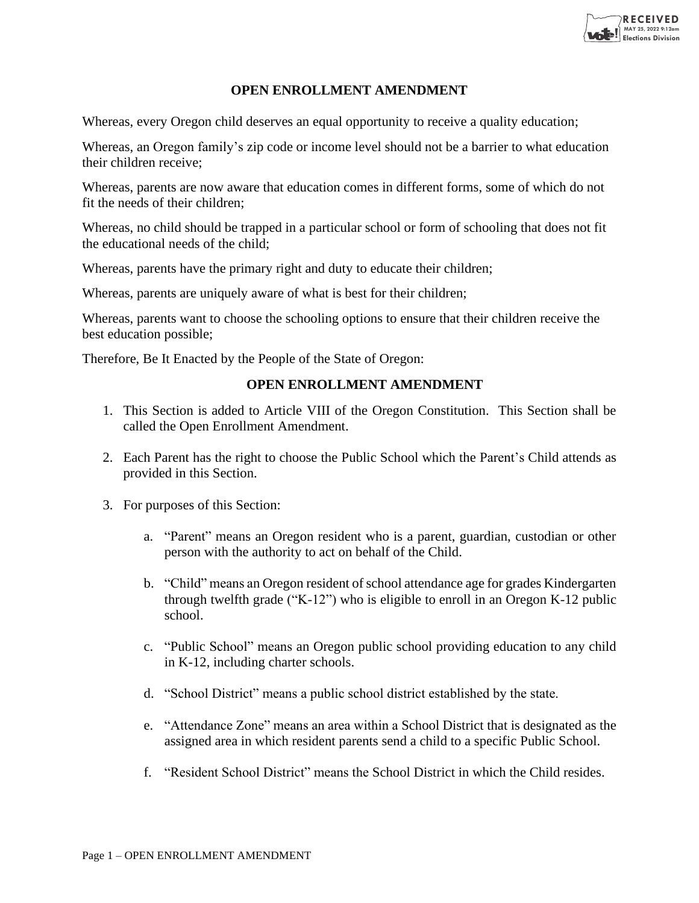

## **OPEN ENROLLMENT AMENDMENT**

Whereas, every Oregon child deserves an equal opportunity to receive a quality education;

Whereas, an Oregon family's zip code or income level should not be a barrier to what education their children receive;

Whereas, parents are now aware that education comes in different forms, some of which do not fit the needs of their children;

Whereas, no child should be trapped in a particular school or form of schooling that does not fit the educational needs of the child;

Whereas, parents have the primary right and duty to educate their children;

Whereas, parents are uniquely aware of what is best for their children;

Whereas, parents want to choose the schooling options to ensure that their children receive the best education possible;

Therefore, Be It Enacted by the People of the State of Oregon:

## **OPEN ENROLLMENT AMENDMENT**

- 1. This Section is added to Article VIII of the Oregon Constitution. This Section shall be called the Open Enrollment Amendment.
- 2. Each Parent has the right to choose the Public School which the Parent's Child attends as provided in this Section.
- 3. For purposes of this Section:
	- a. "Parent" means an Oregon resident who is a parent, guardian, custodian or other person with the authority to act on behalf of the Child.
	- b. "Child" means an Oregon resident of school attendance age for grades Kindergarten through twelfth grade ("K-12") who is eligible to enroll in an Oregon K-12 public school.
	- c. "Public School" means an Oregon public school providing education to any child in K-12, including charter schools.
	- d. "School District" means a public school district established by the state.
	- e. "Attendance Zone" means an area within a School District that is designated as the assigned area in which resident parents send a child to a specific Public School.
	- f. "Resident School District" means the School District in which the Child resides.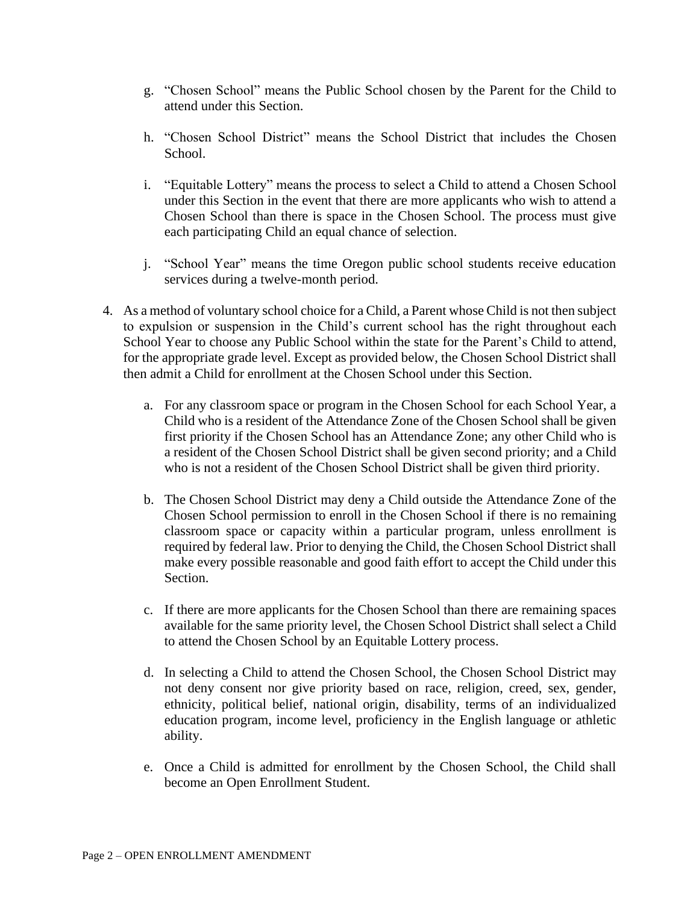- g. "Chosen School" means the Public School chosen by the Parent for the Child to attend under this Section.
- h. "Chosen School District" means the School District that includes the Chosen School.
- i. "Equitable Lottery" means the process to select a Child to attend a Chosen School under this Section in the event that there are more applicants who wish to attend a Chosen School than there is space in the Chosen School. The process must give each participating Child an equal chance of selection.
- j. "School Year" means the time Oregon public school students receive education services during a twelve-month period.
- 4. As a method of voluntary school choice for a Child, a Parent whose Child is not then subject to expulsion or suspension in the Child's current school has the right throughout each School Year to choose any Public School within the state for the Parent's Child to attend, for the appropriate grade level. Except as provided below, the Chosen School District shall then admit a Child for enrollment at the Chosen School under this Section.
	- a. For any classroom space or program in the Chosen School for each School Year, a Child who is a resident of the Attendance Zone of the Chosen School shall be given first priority if the Chosen School has an Attendance Zone; any other Child who is a resident of the Chosen School District shall be given second priority; and a Child who is not a resident of the Chosen School District shall be given third priority.
	- b. The Chosen School District may deny a Child outside the Attendance Zone of the Chosen School permission to enroll in the Chosen School if there is no remaining classroom space or capacity within a particular program, unless enrollment is required by federal law. Prior to denying the Child, the Chosen School District shall make every possible reasonable and good faith effort to accept the Child under this Section.
	- c. If there are more applicants for the Chosen School than there are remaining spaces available for the same priority level, the Chosen School District shall select a Child to attend the Chosen School by an Equitable Lottery process.
	- d. In selecting a Child to attend the Chosen School, the Chosen School District may not deny consent nor give priority based on race, religion, creed, sex, gender, ethnicity, political belief, national origin, disability, terms of an individualized education program, income level, proficiency in the English language or athletic ability.
	- e. Once a Child is admitted for enrollment by the Chosen School, the Child shall become an Open Enrollment Student.